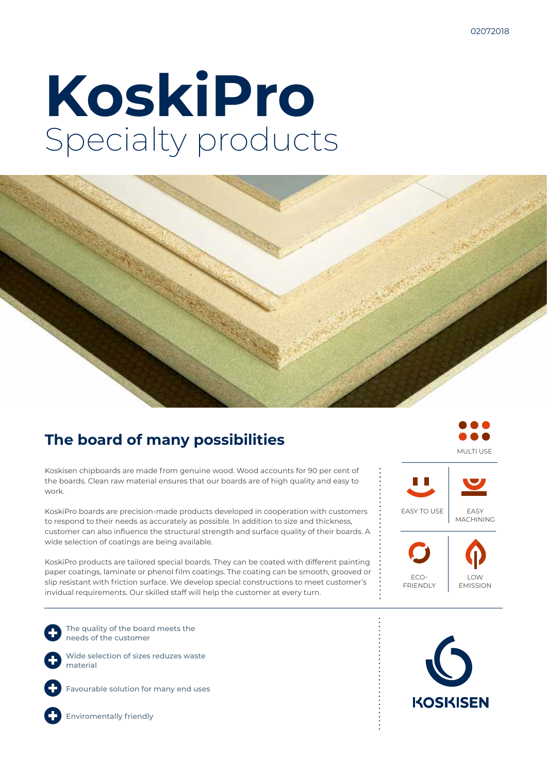# **KoskiPro** Specialty products



#### **The board of many possibilities**

Koskisen chipboards are made from genuine wood. Wood accounts for 90 per cent of the boards. Clean raw material ensures that our boards are of high quality and easy to work.

KoskiPro boards are precision-made products developed in cooperation with customers to respond to their needs as accurately as possible. In addition to size and thickness, customer can also influence the structural strength and surface quality of their boards. A wide selection of coatings are being available.

KoskiPro products are tailored special boards. They can be coated with different painting paper coatings, laminate or phenol film coatings. The coating can be smooth, grooved or slip resistant with friction surface. We develop special constructions to meet customer's invidual requirements. Our skilled staff will help the customer at every turn.

The quality of the board meets the needs of the customer

Wide selection of sizes reduzes waste material



Favourable solution for many end uses



Enviromentally friendly



MULTI USE